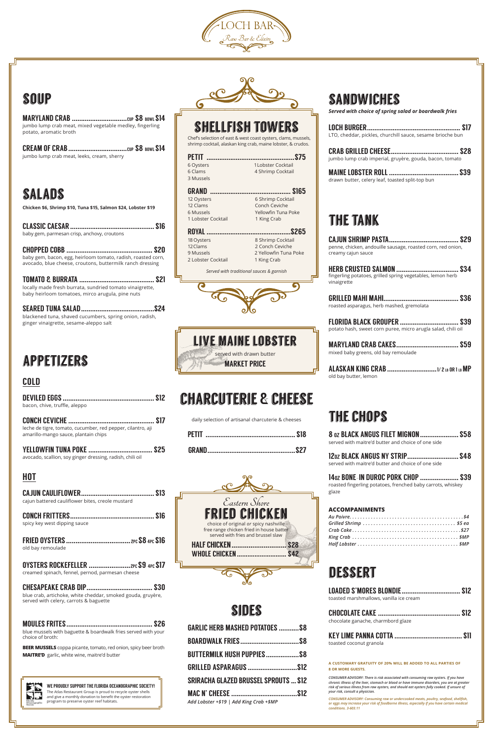# charcuterie & cheese

daily selection of artisanal charcuterie & cheeses

# **SANDWICHES**

sides

GARLIC HERB MASHED POTATOES ...........\$8

| <b>BUTTERMILK HUSH PUPPIESS8</b>             |  |
|----------------------------------------------|--|
|                                              |  |
| <b>SRIRACHA GLAZED BRUSSEL SPROUTS  \$12</b> |  |
| Add Lobster +\$19   Add King Crab +\$MP      |  |



## soup

MARYLAND CRAB ..............................cup \$8 bowl \$14 jumbo lump crab meat, mixed vegetable medley, fingerling potato, aromatic broth

CREAM OF CRAB................................cup \$8 bowl \$14 jumbo lump crab meat, leeks, cream, sherry

# salads

**Chicken \$6, Shrimp \$10, Tuna \$15, Salmon \$24, Lobster \$19**

| baby gem, parmesan crisp, anchovy, croutons |  |
|---------------------------------------------|--|

CHOPPED COBB ............................................... \$20 baby gem, bacon, egg, heirloom tomato, radish, roasted corn, avocado, blue cheese, croutons, buttermilk ranch dressing

TOMATO & BURRATA ......................................... \$21 locally made fresh burrata, sundried tomato vinaigrette, baby heirloom tomatoes, mirco arugula, pine nuts

SEARED TUNA SALAD........................................\$24 blackened tuna, shaved cucumbers, spring onion, radish, ginger vinaigrette, sesame-aleppo salt

## appetizers

#### COLD

| \$12<br>bacon, chive, truffle, aleppo                                                                       |
|-------------------------------------------------------------------------------------------------------------|
| \$17<br>leche de tigre, tomato, cucumber, red pepper, cilantro, aji<br>amarillo-mango sauce, plantain chips |
| <b>YELLOWFIN TUNA POKE </b><br>S25<br>avocado, scallion, soy ginger dressing, radish, chili oil             |
| HOT                                                                                                         |
| <b>CAJUN CAULIFLOWER.</b>                                                                                   |



cajun battered cauliflower bites, creole mustard

CONCH FRITTERS.............................................. \$16 spicy key west dipping sauce

FRIED OYSTERS.................................. 2pc\$84pc\$16 old bay remoulade

OYSTERS ROCKEFELLER ......................2pc\$9 4pc\$17 creamed spinach, fennel, pernod, parmesan cheese

CHESAPEAKE CRAB DIP.................................... \$30 blue crab, artichoke, white cheddar, smoked gouda, gruyère, served with celery, carrots & baguette

| toasted coconut granola |  |
|-------------------------|--|

MOULES FRITES............................................... \$26 blue mussels with baguette & boardwalk fries served with your choice of broth:

**BEER MUSSELS** coppa picante, tomato, red onion, spicy beer broth **MAITRE'D** garlic, white wine, maitre'd butter



*Served with choice of spring salad or boardwalk fries*

| <b>FRIED CHICKEN</b>                                                                                                    |            |
|-------------------------------------------------------------------------------------------------------------------------|------------|
| choice of original or spicy nashville<br>free range chicken fried in house batter<br>served with fries and brussel slaw |            |
| <b>HALF CHICKEN</b>                                                                                                     | <b>S28</b> |
| <b>WHOLE CHICKEN</b>                                                                                                    | <b>S42</b> |
|                                                                                                                         |            |
|                                                                                                                         |            |

| LTO, cheddar, pickles, churchill sauce, sesame brioche bun                                       |
|--------------------------------------------------------------------------------------------------|
| \$28<br>jumbo lump crab imperial, gruyère, gouda, bacon, tomato                                  |
| drawn butter, celery leaf, toasted split-top bun                                                 |
| <b>THE TANK</b>                                                                                  |
| <b>\$29</b><br>penne, chicken, andouille sausage, roasted corn, red onion,<br>creamy cajun sauce |

| fingerling potatoes, grilled spring vegetables, lemon herb |  |
|------------------------------------------------------------|--|
| vinaigrette                                                |  |

| roasted asparagus, herb mashed, gremolata                                                   |  |
|---------------------------------------------------------------------------------------------|--|
| FLORIDA BLACK GROUPER  \$39<br>potato hash, sweet corn puree, micro arugla salad, chili oil |  |
| mixed baby greens, old bay remoulade                                                        |  |
|                                                                                             |  |

old bay butter, lemon

# the chops

| <b>8 oz BLACK ANGUS FILET MIGNON  \$58</b>         |  |
|----------------------------------------------------|--|
| served with maitre'd butter and choice of one side |  |

| 120Z BLACK ANGUS NY STRIP \$48                     |  |
|----------------------------------------------------|--|
| served with maitre'd butter and choice of one side |  |

14oz BONE-IN DUROC PORK CHOP ..................... \$39 roasted fingerling potatoes, frenched baby carrots, whiskey glaze

#### **ACCOMPANIMENTS**

*Au Poivre . . . . . . . . . . . . . . . . . . . . . . . . . . . . . . . . . . . . . . . . . . \$4 Grilled Shrimp . . . . . . . . . . . . . . . . . . . . . . . . . . . . . . . . . . . \$5 ea Crab Cake . . . . . . . . . . . . . . . . . . . . . . . . . . . . . . . . . . . . . . . . \$27 King Crab . . . . . . . . . . . . . . . . . . . . . . . . . . . . . . . . . . . . . . . . \$MP Half Lobster . . . . . . . . . . . . . . . . . . . . . . . . . . . . . . . . . . . . . . \$MP*

### **DESSERT**

| LOADED S'MORES BLONDIE \$12             |  |
|-----------------------------------------|--|
| toasted marshmallows, vanilla ice cream |  |

| chocolate ganache, charmbord glaze |  |
|------------------------------------|--|

### shellfish towers

Chef's selection of east & west coast oysters, clams, mussels, shrimp cocktail, alaskan king crab, maine lobster, & crudos.

| <b>PETIT</b> |                    |
|--------------|--------------------|
| 6 Oysters    | 1 Lobster Cocktail |
| 6 Clams      | 4 Shrimp Cocktail  |
| 3 Mussels    |                    |
|              |                    |

| GRAND              |                     |
|--------------------|---------------------|
| 12 Oysters         | 6 Shrimp Cocktail   |
| 12 Clams           | Conch Ceviche       |
| 6 Mussels          | Yellowfin Tuna Poke |
| 1 Lobster Cocktail | 1 King Crab         |
|                    |                     |

| 8 Shrimp Cocktail     |
|-----------------------|
| 2 Conch Ceviche       |
| 2 Yellowfin Tuna Poke |
| 1 King Crab           |
|                       |

*Served with traditional sauces & garnish*



**Eastern Shore**

#### **A CUSTOMARY GRATUITY OF 20% WILL BE ADDED TO ALL PARTIES OF 8 OR MORE GUESTS.**

*CONSUMER ADVISORY: There is risk associated with consuming raw oysters. If you have chronic illness of the liver, stomach or blood or have immune disorders, you are at greater risk of serious illness from raw oysters, and should eat oysters fully cooked. If unsure of your risk, consult a physician.*

*CONSUMER ADVISORY: Consuming raw or undercooked meats, poultry, seafood, shellfish, or eggs may increase your risk of foodborne illness, especially if you have certain medical conditions. 3-603.11*

WE PROUDLY SUPPORT THE FLORIDA OCEANOGRAPHIC SOCIETY! The Atlas Restaurant Group is proud to recycle oyster shells and give a monthly donation to benefit the oyster restoration program to preserve oyster reef habitats.

| LIVE MAINE LOBSTER       |  |
|--------------------------|--|
| served with drawn butter |  |
| <b>MARKET PRICE</b>      |  |